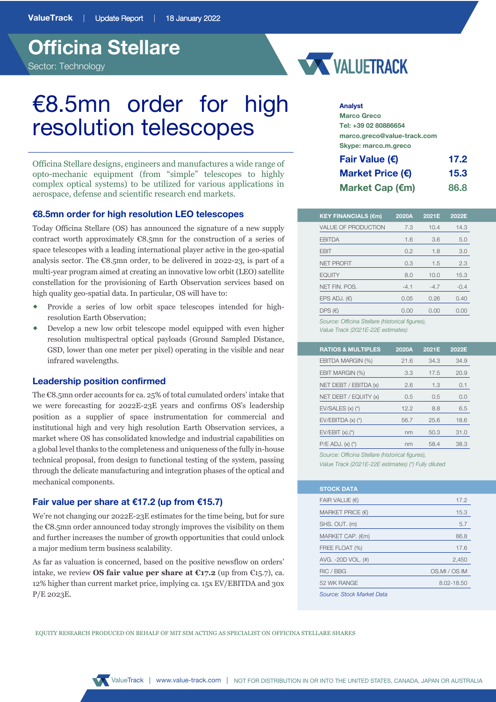



# €8.5mn order for high resolution telescopes

Officina Stellare designs, engineers and manufactures a wide range of opto-mechanic equipment (from "simple" telescopes to highly complex optical systems) to be utilized for various applications in aerospace, defense and scientific research end markets.

# **€8.5mn order for high resolution LEO telescopes**

Today Officina Stellare (OS) has announced the signature of a new supply contract worth approximately €8.5mn for the construction of a series of space telescopes with a leading international player active in the geo-spatial analysis sector. The €8.5mn order, to be delivered in 2022-23, is part of a multi-year program aimed at creating an innovative low orbit (LEO) satellite constellation for the provisioning of Earth Observation services based on high quality geo-spatial data. In particular, OS will have to:

- ® Provide a series of low orbit space telescopes intended for highresolution Earth Observation;
- Develop a new low orbit telescope model equipped with even higher resolution multispectral optical payloads (Ground Sampled Distance, GSD, lower than one meter per pixel) operating in the visible and near infrared wavelengths.

# **Leadership position confirmed**

The €8.5mn order accounts for ca. 25% of total cumulated orders' intake that we were forecasting for 2022E-23E years and confirms OS's leadership position as a supplier of space instrumentation for commercial and institutional high and very high resolution Earth Observation services, a market where OS has consolidated knowledge and industrial capabilities on a global level thanks to the completeness and uniqueness of the fully in-house technical proposal, from design to functional testing of the system, passing through the delicate manufacturing and integration phases of the optical and mechanical components.

# **Fair value per share at €17.2 (up from €15.7)**

We're not changing our 2022E-23E estimates for the time being, but for sure the €8.5mn order announced today strongly improves the visibility on them and further increases the number of growth opportunities that could unlock a major medium term business scalability.

As far as valuation is concerned, based on the positive newsflow on orders' intake, we review **OS fair value per share at €17.2** (up from €15.7), ca. 12% higher than current market price, implying ca. 15x EV/EBITDA and 30x P/E 2023E.

**Analyst**

| <b>Marco Greco</b>          |      |
|-----------------------------|------|
| Tel: +39 02 80886654        |      |
| marco.greco@value-track.com |      |
| Skype: marco.m.greco        |      |
| Fair Value $(E)$            | 17.2 |
| Market Price (€)            | 15.3 |
| Market Cap (€m)             | 86.8 |

| <b>KEY FINANCIALS (€m)</b> | 2020A  | 2021E  | 2022E  |
|----------------------------|--------|--------|--------|
| <b>VALUE OF PRODUCTION</b> | 7.3    | 10.4   | 14.3   |
| <b>EBITDA</b>              | 1.6    | 3.6    | 5.0    |
| <b>FBIT</b>                | 0.2    | 1.8    | 3.0    |
| <b>NET PROFIT</b>          | 0.3    | 1.5    | 2.3    |
| <b>EQUITY</b>              | 8.0    | 10.0   | 15.3   |
| NET FIN. POS.              | $-4.1$ | $-4.7$ | $-0.4$ |
| EPS ADJ. $(E)$             | 0.05   | 0.26   | 0.40   |
| DPS $(E)$                  | 0.00   | 0.00   | 0.00   |

*Value Track (2021E-22E estimates)*

| <b>RATIOS &amp; MULTIPLES</b>   | 2020A | 2021E | 2022E |  |
|---------------------------------|-------|-------|-------|--|
| EBITDA MARGIN (%)               | 21.6  | 34.3  | 34.9  |  |
| EBIT MARGIN (%)                 | 3.3   | 17.5  | 20.9  |  |
| NET DEBT / EBITDA (x)           | 2.6   | 1.3   | 0.1   |  |
| NET DEBT / EQUITY (x)           | 0.5   | 0.5   | 0.0   |  |
| EV/SALES (x) (*)                | 12.2  | 8.8   | 6.5   |  |
| $EV/EBITDA(x)$ (*)              | 56.7  | 25.6  | 18.6  |  |
| $EV/EBIT (x).$ (*)              | nm    | 50.3  | 31.0  |  |
| $P/E ADJ. (x) (*)$              | nm    | 58.4  | 38.3  |  |
| $Q = \{x_1, x_2, \ldots, x_n\}$ |       |       |       |  |

*Source: Officina Stellare (historical figures), Value Track (2021E-22E estimates) (\*) Fully diluted*

| <b>STOCK DATA</b>             |               |
|-------------------------------|---------------|
| FAIR VALUE $(\epsilon)$       | 17.2          |
| MARKET PRICE $(\epsilon)$     | 15.3          |
| SHS. OUT. (m)                 | 5.7           |
| $MARKET CAP.$ ( $\epsilon$ m) | 86.8          |
| FREE FLOAT (%)                | 17.6          |
| AVG. -20D VOL. (#)            | 2,450         |
| RIC / BBG                     | OS.MI / OS IM |
| 52 WK RANGE                   | 8.02-18.50    |
| Source: Stock Market Data     |               |

EQUITY RESEARCH PRODUCED ON BEHALF OF MIT SIM ACTING AS SPECIALIST ON OFFICINA STELLARE SHARES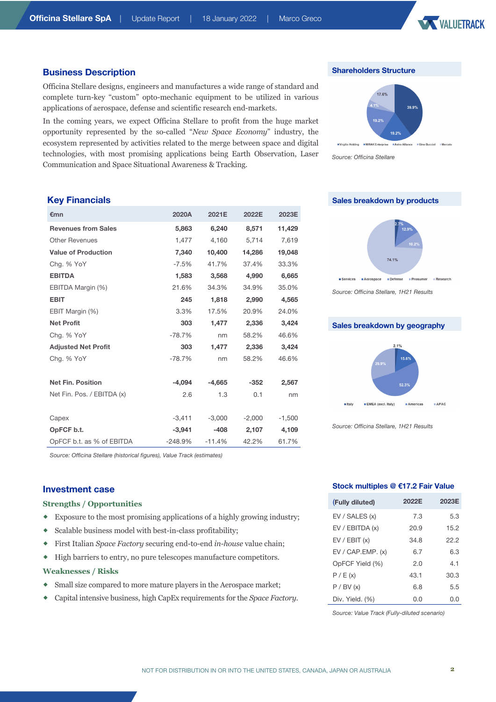

### **Business Description**

Officina Stellare designs, engineers and manufactures a wide range of standard and complete turn-key "custom" opto-mechanic equipment to be utilized in various applications of aerospace, defense and scientific research end-markets.

In the coming years, we expect Officina Stellare to profit from the huge market opportunity represented by the so-called "*New Space Economy*" industry, the ecosystem represented by activities related to the merge between space and digital technologies, with most promising applications being Earth Observation, Laser Communication and Space Situational Awareness & Tracking.





*Source: Officina Stellare*

# **Key Financials**

| €mn                        | 2020A     | 2021E    | 2022E    | 2023E    |
|----------------------------|-----------|----------|----------|----------|
| <b>Revenues from Sales</b> | 5,863     | 6,240    | 8,571    | 11,429   |
| <b>Other Revenues</b>      | 1,477     | 4,160    | 5,714    | 7,619    |
| <b>Value of Production</b> | 7,340     | 10,400   | 14,286   | 19,048   |
| Chg. % YoY                 | $-7.5\%$  | 41.7%    | 37.4%    | 33.3%    |
| <b>EBITDA</b>              | 1,583     | 3,568    | 4,990    | 6,665    |
| EBITDA Margin (%)          | 21.6%     | 34.3%    | 34.9%    | 35.0%    |
| <b>EBIT</b>                | 245       | 1,818    | 2,990    | 4,565    |
| EBIT Margin (%)            | 3.3%      | 17.5%    | 20.9%    | 24.0%    |
| <b>Net Profit</b>          | 303       | 1,477    | 2,336    | 3,424    |
| Chg. % YoY                 | $-78.7%$  | nm       | 58.2%    | 46.6%    |
| <b>Adjusted Net Profit</b> | 303       | 1,477    | 2,336    | 3,424    |
| Chg. % YoY                 | $-78.7%$  | nm       | 58.2%    | 46.6%    |
|                            |           |          |          |          |
| <b>Net Fin. Position</b>   | $-4,094$  | $-4,665$ | $-352$   | 2,567    |
| Net Fin. Pos. / EBITDA (x) | 2.6       | 1.3      | 0.1      | nm       |
|                            |           |          |          |          |
| Capex                      | $-3,411$  | $-3,000$ | $-2,000$ | $-1,500$ |
| OpFCF b.t.                 | $-3,941$  | $-408$   | 2,107    | 4,109    |
| OpFCF b.t. as % of EBITDA  | $-248.9%$ | $-11.4%$ | 42.2%    | 61.7%    |





*Source: Officina Stellare, 1H21 Results*

## **Sales breakdown by geography**



*Source: Officina Stellare, 1H21 Results*

*Source: Officina Stellare (historical figures), Value Track (estimates)*

#### **Investment case**

#### **Strengths / Opportunities**

- ® Exposure to the most promising applications of a highly growing industry;
- $\bullet$  Scalable business model with best-in-class profitability;
- ® First Italian *Space Factory* securing end-to-end *in-house* value chain;
- ® High barriers to entry, no pure telescopes manufacture competitors.

### **Weaknesses / Risks**

- Small size compared to more mature players in the Aerospace market;
- ® Capital intensive business, high CapEx requirements for the *Space Factory.*

### **Stock multiples @ €17.2 Fair Value**

| (Fully diluted)    | 2022E | 2023E |
|--------------------|-------|-------|
| EV / SALES (x)     | 7.3   | 5.3   |
| EV / EBITDA (x)    | 20.9  | 15.2  |
| EV / EBIT (x)      | 34.8  | 22.2  |
| EV / CAP. EMP. (x) | 6.7   | 6.3   |
| OpFCF Yield (%)    | 2.0   | 4.1   |
| P / E(x)           | 43.1  | 30.3  |
| P / BV (x)         | 6.8   | 5.5   |
| Div. Yield. (%)    | 0.0   | 0.0   |

*Source: Value Track (Fully-diluted scenario)*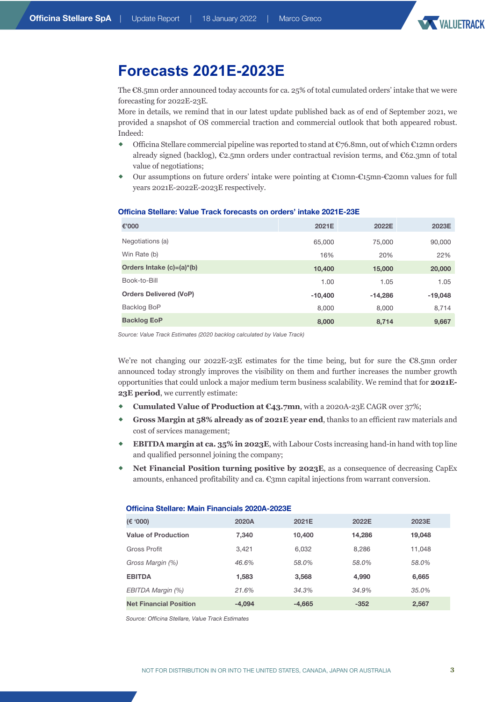

# **Forecasts 2021E-2023E**

The €8.5mn order announced today accounts for ca. 25% of total cumulated orders' intake that we were forecasting for 2022E-23E.

More in details, we remind that in our latest update published back as of end of September 2021, we provided a snapshot of OS commercial traction and commercial outlook that both appeared robust. Indeed:

- $\bullet$  Officina Stellare commercial pipeline was reported to stand at  $\mathbb{C}$ 76.8mn, out of which  $\mathbb{C}1$ 2mn orders already signed (backlog), €2.5mn orders under contractual revision terms, and €62.3mn of total value of negotiations;
- ® Our assumptions on future orders' intake were pointing at €10mn-€15mn-€20mn values for full years 2021E-2022E-2023E respectively.

#### **Officina Stellare: Value Track forecasts on orders' intake 2021E-23E**

| €'000                         | 2021E     | 2022E     | 2023E     |
|-------------------------------|-----------|-----------|-----------|
| Negotiations (a)              | 65,000    | 75,000    | 90,000    |
| Win Rate (b)                  | 16%       | 20%       | 22%       |
| Orders Intake (c)=(a)*(b)     | 10,400    | 15,000    | 20,000    |
| Book-to-Bill                  | 1.00      | 1.05      | 1.05      |
| <b>Orders Delivered (VoP)</b> | $-10,400$ | $-14,286$ | $-19,048$ |
| Backlog BoP                   | 8,000     | 8,000     | 8,714     |
| <b>Backlog EoP</b>            | 8,000     | 8,714     | 9,667     |

*Source: Value Track Estimates (2020 backlog calculated by Value Track)*

We're not changing our 2022E-23E estimates for the time being, but for sure the  $\epsilon$ 8.5mn order announced today strongly improves the visibility on them and further increases the number growth opportunities that could unlock a major medium term business scalability. We remind that for **2021E-23E period**, we currently estimate:

- ® **Cumulated Value of Production at €43.7mn**, with a 2020A-23E CAGR over 37%;
- ® **Gross Margin at 58% already as of 2021E year end**, thanks to an efficient raw materials and cost of services management;
- **EBITDA margin at ca. 35% in 2023E**, with Labour Costs increasing hand-in hand with top line and qualified personnel joining the company;
- **Net Financial Position <b>turning positive by 2023E**, as a consequence of decreasing CapEx amounts, enhanced profitability and ca.  $\mathfrak{C}3mn$  capital injections from warrant conversion.

#### **Officina Stellare: Main Financials 2020A-2023E**

| (E '000)                      | 2020A    | 2021E    | 2022E  | 2023E  |
|-------------------------------|----------|----------|--------|--------|
| <b>Value of Production</b>    | 7,340    | 10,400   | 14,286 | 19,048 |
| Gross Profit                  | 3.421    | 6.032    | 8.286  | 11.048 |
| Gross Margin (%)              | 46.6%    | 58.0%    | 58.0%  | 58.0%  |
| <b>EBITDA</b>                 | 1,583    | 3,568    | 4,990  | 6,665  |
| EBITDA Margin (%)             | 21.6%    | 34.3%    | 34.9%  | 35.0%  |
| <b>Net Financial Position</b> | $-4,094$ | $-4,665$ | $-352$ | 2,567  |

*Source: Officina Stellare, Value Track Estimates*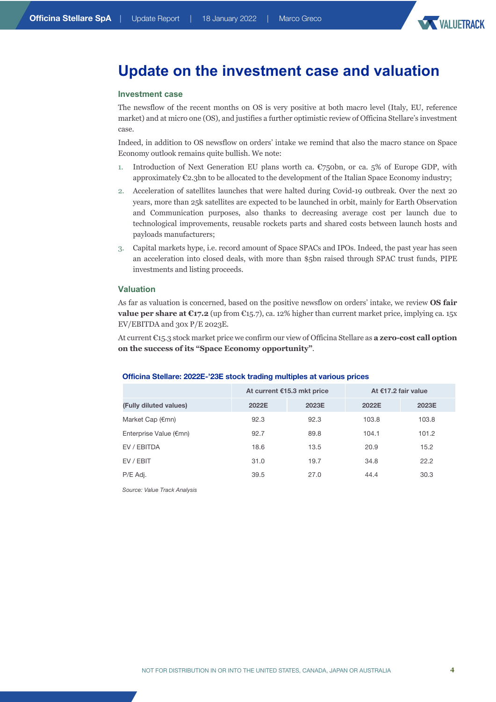

# **Update on the investment case and valuation**

#### **Investment case**

The newsflow of the recent months on OS is very positive at both macro level (Italy, EU, reference market) and at micro one (OS), and justifies a further optimistic review of Officina Stellare's investment case.

Indeed, in addition to OS newsflow on orders' intake we remind that also the macro stance on Space Economy outlook remains quite bullish. We note:

- 1. Introduction of Next Generation EU plans worth ca.  $\mathbb{C}750$ bn, or ca. 5% of Europe GDP, with approximately €2.3bn to be allocated to the development of the Italian Space Economy industry;
- 2. Acceleration of satellites launches that were halted during Covid-19 outbreak. Over the next 20 years, more than 25k satellites are expected to be launched in orbit, mainly for Earth Observation and Communication purposes, also thanks to decreasing average cost per launch due to technological improvements, reusable rockets parts and shared costs between launch hosts and payloads manufacturers;
- 3. Capital markets hype, i.e. record amount of Space SPACs and IPOs. Indeed, the past year has seen an acceleration into closed deals, with more than \$5bn raised through SPAC trust funds, PIPE investments and listing proceeds.

#### **Valuation**

As far as valuation is concerned, based on the positive newsflow on orders' intake, we review **OS fair value per share at €17.2** (up from €15.7), ca. 12% higher than current market price, implying ca. 15x EV/EBITDA and 30x P/E 2023E.

At current €15.3 stock market price we confirm our view of Officina Stellare as **a zero-cost call option on the success of its "Space Economy opportunity"**.

#### **Officina Stellare: 2022E-'23E stock trading multiples at various prices**

|                           | At current €15.3 mkt price |       | At €17.2 fair value |       |
|---------------------------|----------------------------|-------|---------------------|-------|
| (Fully diluted values)    | 2022E                      | 2023E | 2022E               | 2023E |
| Market Cap $(\epsilon m)$ | 92.3                       | 92.3  | 103.8               | 103.8 |
| Enterprise Value (€mn)    | 92.7                       | 89.8  | 104.1               | 101.2 |
| EV / EBITDA               | 18.6                       | 13.5  | 20.9                | 15.2  |
| EV / EBIT                 | 31.0                       | 19.7  | 34.8                | 22.2  |
| P/E Adj.                  | 39.5                       | 27.0  | 44.4                | 30.3  |

*Source: Value Track Analysis*